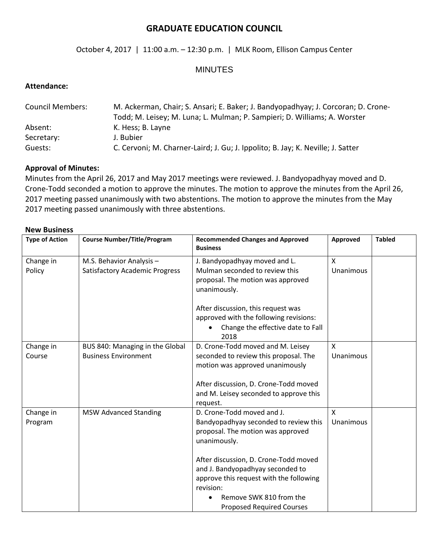# **GRADUATE EDUCATION COUNCIL**

## October 4, 2017 | 11:00 a.m. – 12:30 p.m. | MLK Room, Ellison Campus Center

## MINUTES

## **Attendance:**

| <b>Council Members:</b> | M. Ackerman, Chair; S. Ansari; E. Baker; J. Bandyopadhyay; J. Corcoran; D. Crone-<br>Todd; M. Leisey; M. Luna; L. Mulman; P. Sampieri; D. Williams; A. Worster |  |
|-------------------------|----------------------------------------------------------------------------------------------------------------------------------------------------------------|--|
| Absent:                 | K. Hess; B. Layne                                                                                                                                              |  |
| Secretary:              | J. Bubier                                                                                                                                                      |  |
| Guests:                 | C. Cervoni; M. Charner-Laird; J. Gu; J. Ippolito; B. Jay; K. Neville; J. Satter                                                                                |  |

#### **Approval of Minutes:**

Minutes from the April 26, 2017 and May 2017 meetings were reviewed. J. Bandyopadhyay moved and D. Crone-Todd seconded a motion to approve the minutes. The motion to approve the minutes from the April 26, 2017 meeting passed unanimously with two abstentions. The motion to approve the minutes from the May 2017 meeting passed unanimously with three abstentions.

#### **New Business**

| <b>Type of Action</b> | <b>Course Number/Title/Program</b>    | <b>Recommended Changes and Approved</b><br><b>Business</b> | Approved     | <b>Tabled</b> |
|-----------------------|---------------------------------------|------------------------------------------------------------|--------------|---------------|
| Change in             | M.S. Behavior Analysis -              | J. Bandyopadhyay moved and L.                              | X            |               |
| Policy                | <b>Satisfactory Academic Progress</b> | Mulman seconded to review this                             | Unanimous    |               |
|                       |                                       | proposal. The motion was approved                          |              |               |
|                       |                                       | unanimously.                                               |              |               |
|                       |                                       | After discussion, this request was                         |              |               |
|                       |                                       | approved with the following revisions:                     |              |               |
|                       |                                       | Change the effective date to Fall<br>2018                  |              |               |
| Change in             | BUS 840: Managing in the Global       | D. Crone-Todd moved and M. Leisey                          | X            |               |
| Course                | <b>Business Environment</b>           | seconded to review this proposal. The                      | Unanimous    |               |
|                       |                                       | motion was approved unanimously                            |              |               |
|                       |                                       |                                                            |              |               |
|                       |                                       | After discussion, D. Crone-Todd moved                      |              |               |
|                       |                                       | and M. Leisey seconded to approve this                     |              |               |
|                       |                                       | request.                                                   |              |               |
| Change in             | <b>MSW Advanced Standing</b>          | D. Crone-Todd moved and J.                                 | $\mathsf{X}$ |               |
| Program               |                                       | Bandyopadhyay seconded to review this                      | Unanimous    |               |
|                       |                                       | proposal. The motion was approved                          |              |               |
|                       |                                       | unanimously.                                               |              |               |
|                       |                                       | After discussion, D. Crone-Todd moved                      |              |               |
|                       |                                       | and J. Bandyopadhyay seconded to                           |              |               |
|                       |                                       | approve this request with the following                    |              |               |
|                       |                                       | revision:                                                  |              |               |
|                       |                                       | Remove SWK 810 from the                                    |              |               |
|                       |                                       | <b>Proposed Required Courses</b>                           |              |               |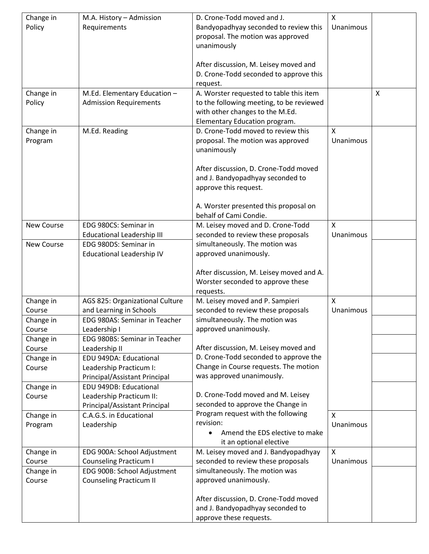| Change in            | M.A. History - Admission                                 | D. Crone-Todd moved and J.                                         | $\mathsf{X}$              |              |
|----------------------|----------------------------------------------------------|--------------------------------------------------------------------|---------------------------|--------------|
| Policy               | Requirements                                             | Bandyopadhyay seconded to review this                              | Unanimous                 |              |
|                      |                                                          | proposal. The motion was approved                                  |                           |              |
|                      |                                                          | unanimously                                                        |                           |              |
|                      |                                                          |                                                                    |                           |              |
|                      |                                                          | After discussion, M. Leisey moved and                              |                           |              |
|                      |                                                          | D. Crone-Todd seconded to approve this                             |                           |              |
|                      |                                                          | request.                                                           |                           |              |
| Change in            | M.Ed. Elementary Education -                             | A. Worster requested to table this item                            |                           | $\mathsf{X}$ |
| Policy               | <b>Admission Requirements</b>                            | to the following meeting, to be reviewed                           |                           |              |
|                      |                                                          | with other changes to the M.Ed.                                    |                           |              |
|                      |                                                          | Elementary Education program.                                      |                           |              |
| Change in            | M.Ed. Reading                                            | D. Crone-Todd moved to review this                                 | X<br>Unanimous            |              |
| Program              |                                                          | proposal. The motion was approved                                  |                           |              |
|                      |                                                          | unanimously                                                        |                           |              |
|                      |                                                          | After discussion, D. Crone-Todd moved                              |                           |              |
|                      |                                                          | and J. Bandyopadhyay seconded to                                   |                           |              |
|                      |                                                          | approve this request.                                              |                           |              |
|                      |                                                          |                                                                    |                           |              |
|                      |                                                          | A. Worster presented this proposal on                              |                           |              |
|                      |                                                          | behalf of Cami Condie.                                             |                           |              |
| <b>New Course</b>    | EDG 980CS: Seminar in                                    | M. Leisey moved and D. Crone-Todd                                  | $\mathsf{x}$              |              |
|                      | <b>Educational Leadership III</b>                        | seconded to review these proposals                                 | Unanimous                 |              |
| <b>New Course</b>    | EDG 980DS: Seminar in                                    | simultaneously. The motion was                                     |                           |              |
|                      | Educational Leadership IV                                | approved unanimously.                                              |                           |              |
|                      |                                                          |                                                                    |                           |              |
|                      |                                                          | After discussion, M. Leisey moved and A.                           |                           |              |
|                      |                                                          | Worster seconded to approve these                                  |                           |              |
|                      |                                                          | requests.                                                          |                           |              |
| Change in            | AGS 825: Organizational Culture                          | M. Leisey moved and P. Sampieri                                    | $\mathsf{x}$              |              |
| Course               | and Learning in Schools                                  | seconded to review these proposals                                 | Unanimous                 |              |
| Change in            | EDG 980AS: Seminar in Teacher                            | simultaneously. The motion was                                     |                           |              |
| Course               | Leadership I                                             | approved unanimously.                                              |                           |              |
| Change in            | EDG 980BS: Seminar in Teacher                            |                                                                    |                           |              |
| Course               | Leadership II                                            | After discussion, M. Leisey moved and                              |                           |              |
| Change in            | EDU 949DA: Educational                                   | D. Crone-Todd seconded to approve the                              |                           |              |
| Course               | Leadership Practicum I:                                  | Change in Course requests. The motion<br>was approved unanimously. |                           |              |
|                      | Principal/Assistant Principal                            |                                                                    |                           |              |
| Change in            | EDU 949DB: Educational                                   | D. Crone-Todd moved and M. Leisey                                  |                           |              |
| Course               | Leadership Practicum II:                                 | seconded to approve the Change in                                  |                           |              |
|                      | Principal/Assistant Principal<br>C.A.G.S. in Educational | Program request with the following                                 | $\mathsf{x}$              |              |
| Change in<br>Program | Leadership                                               | revision:                                                          | Unanimous                 |              |
|                      |                                                          | Amend the EDS elective to make                                     |                           |              |
|                      |                                                          | it an optional elective                                            |                           |              |
| Change in            | EDG 900A: School Adjustment                              | M. Leisey moved and J. Bandyopadhyay                               | $\boldsymbol{\mathsf{X}}$ |              |
| Course               | <b>Counseling Practicum I</b>                            | seconded to review these proposals                                 | Unanimous                 |              |
| Change in            | EDG 900B: School Adjustment                              | simultaneously. The motion was                                     |                           |              |
| Course               | <b>Counseling Practicum II</b>                           | approved unanimously.                                              |                           |              |
|                      |                                                          |                                                                    |                           |              |
|                      |                                                          | After discussion, D. Crone-Todd moved                              |                           |              |
|                      |                                                          | and J. Bandyopadhyay seconded to                                   |                           |              |
|                      |                                                          | approve these requests.                                            |                           |              |